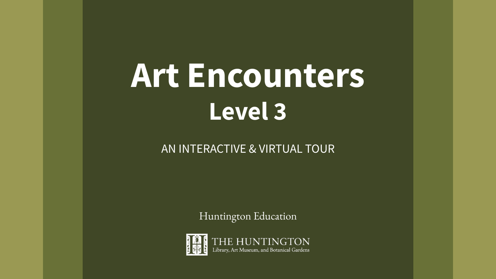# **Art Encounters Level 3**

### AN INTERACTIVE & VIRTUAL TOUR

Huntington Education

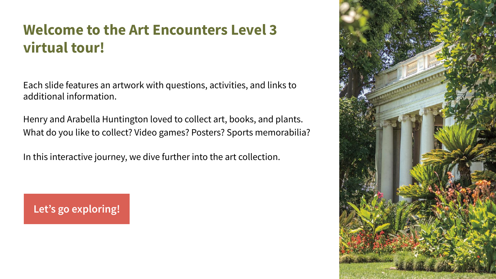### **Welcome to the Art Encounters Level 3 virtual tour!**

Each slide features an artwork with questions, activities, and links to additional information.

Henry and Arabella Huntington loved to collect art, books, and plants. What do you like to collect? Video games? Posters? Sports memorabilia?

In this interactive journey, we dive further into the art collection.

**[Let's go exploring!](#page-2-0)**

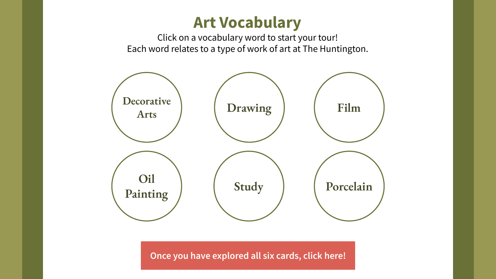### **Art Vocabulary**

Click on a vocabulary word to start your tour! Each word relates to a type of work of art at The Huntington.

<span id="page-2-0"></span>

**[Once you have explored all six cards, click here!](#page-9-0)**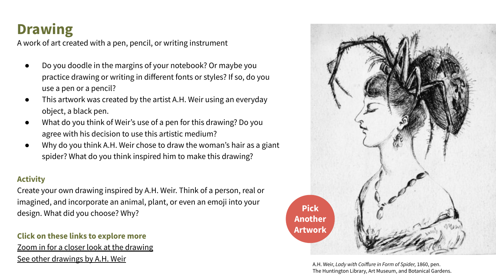### <span id="page-3-0"></span>**Drawing**

A work of art created with a pen, pencil, or writing instrument

- Do you doodle in the margins of your notebook? Or maybe you practice drawing or writing in different fonts or styles? If so, do you use a pen or a pencil?
- This artwork was created by the artist A.H. Weir using an everyday object, a black pen.
- What do you think of Weir's use of a pen for this drawing? Do you agree with his decision to use this artistic medium?
- Why do you think A.H. Weir chose to draw the woman's hair as a giant spider? What do you think inspired him to make this drawing?

#### **Activity**

Create your own drawing inspired by A.H. Weir. Think of a person, real or imagined, and incorporate an animal, plant, or even an emoji into your design. What did you choose? Why?

#### **Click on these links to explore more**

[Zoom in for a closer look at the drawing](https://emuseum.huntington.org/objects/5190/lady-with-coiffure-in-form-of-spider?ctx=040de85fd7a50dd298f4cd39b87d16e90ae4caf4&idx=0) [See other drawings by A.H. Weir](https://emuseum.huntington.org/people/1201/a-h-weir/objects)



A.H. Weir, *Lady with Coiffure in Form of Spider,* 1860, pen. The Huntington Library, Art Museum, and Botanical Gardens.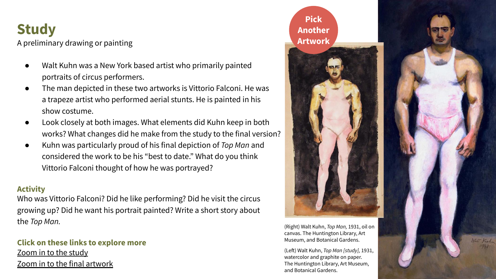### <span id="page-4-0"></span>**Study**

A preliminary drawing or painting

- Walt Kuhn was a New York based artist who primarily painted portraits of circus performers.
- The man depicted in these two artworks is Vittorio Falconi. He was a trapeze artist who performed aerial stunts. He is painted in his show costume.
- Look closely at both images. What elements did Kuhn keep in both works? What changes did he make from the study to the final version?
- Kuhn was particularly proud of his final depiction of *Top Man* and considered the work to be his "best to date." What do you think Vittorio Falconi thought of how he was portrayed?

#### **Activity**

Who was Vittorio Falconi? Did he like performing? Did he visit the circus growing up? Did he want his portrait painted? Write a short story about the *Top Man.* 

**Click on these links to explore more** [Zoom in to the study](https://emuseum.huntington.org/objects/35759/top-man-study?ctx=26aeb9375b3082aa0e3429d01663ceeff534358c&idx=2) [Zoom in to the final artwork](https://emuseum.huntington.org/objects/5161/top-man?ctx=26aeb9375b3082aa0e3429d01663ceeff534358c&idx=4)

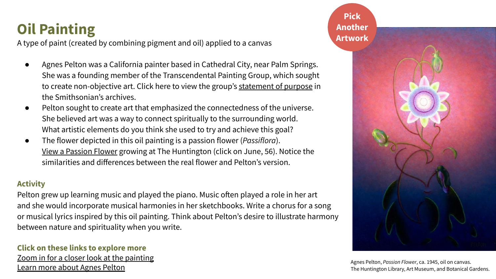## <span id="page-5-0"></span>**Oil Painting**

A type of paint (created by combining pigment and oil) applied to a canvas

- Agnes Pelton was a California painter based in Cathedral City, near Palm Springs. She was a founding member of the Transcendental Painting Group, which sought to create non-objective art. Click here to view the group's [statement of purpose](https://www.aaa.si.edu/collections/items/detail/transcendental-painting-group-statement-purpose-17590) in the Smithsonian's archives.
- Pelton sought to create art that emphasized the connectedness of the universe. She believed art was a way to connect spiritually to the surrounding world. What artistic elements do you think she used to try and achieve this goal?
- The flower depicted in this oil painting is a passion flower (*Passiflora*). [View a Passion Flower](https://huntingtonbg.maps.arcgis.com/apps/Shortlist/index.html?appid=87a80728e7c44639bf5f9f34a1db9a67) growing at The Huntington (click on June, 56). Notice the similarities and differences between the real flower and Pelton's version.

#### **Activity**

Pelton grew up learning music and played the piano. Music often played a role in her art and she would incorporate musical harmonies in her sketchbooks. Write a chorus for a song or musical lyrics inspired by this oil painting. Think about Pelton's desire to illustrate harmony between nature and spirituality when you write.

#### **Click on these links to explore more** [Zoom in for a closer look at the painting](https://emuseum.huntington.org/objects/56575/passion-flower?ctx=b3e9197815ec922bc1383d2e22d90d989aa540f0&idx=0) [Learn more about Agnes Pelton](https://www.huntington.org/frontiers/2017-fall-winter/floriform)

**Pick [Another](#page-2-0)  Artwork**

Agnes Pelton, *Passion Flower*, ca. 1945, oil on canvas. The Huntington Library, Art Museum, and Botanical Gardens.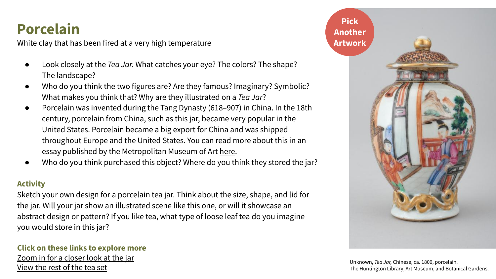### <span id="page-6-0"></span>**Porcelain**

White clay that has been fired at a very high temperature

- Look closely at the *Tea Jar*. What catches your eye? The colors? The shape? The landscape?
- Who do you think the two figures are? Are they famous? Imaginary? Symbolic? What makes you think that? Why are they illustrated on a *Tea Jar*?
- Porcelain was invented during the Tang Dynasty (618–907) in China. In the 18th century, porcelain from China, such as this jar, became very popular in the United States. Porcelain became a big export for China and was shipped throughout Europe and the United States. You can read more about this in an essay published by the Metropolitan Museum of Art [here](https://www.metmuseum.org/toah/hd/ewpor/hd_ewpor.htm).
- Who do you think purchased this object? Where do you think they stored the jar?

#### **Activity**

Sketch your own design for a porcelain tea jar. Think about the size, shape, and lid for the jar. Will your jar show an illustrated scene like this one, or will it showcase an abstract design or pattern? If you like tea, what type of loose leaf tea do you imagine you would store in this jar?

#### **Click on these links to explore more** [Zoom in for a closer look at the jar](https://emuseum.huntington.org/objects/54208/tea-jar?ctx=536d6e42fac93d1311b6b2cbbdecb35f3752f3ea&idx=0) [View the rest of the tea set](https://emuseum.huntington.org/objects/54205/chinese-export-porcelain-tea-service)

![](_page_6_Picture_9.jpeg)

Unknown, *Tea Jar,* Chinese, ca. 1800, porcelain. The Huntington Library, Art Museum, and Botanical Gardens.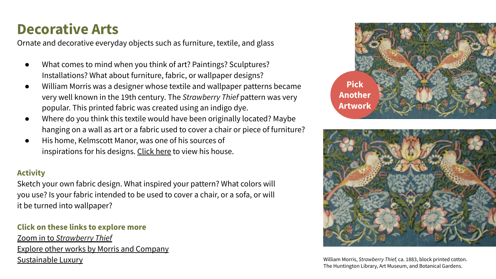### <span id="page-7-0"></span>**Decorative Arts**

Ornate and decorative everyday objects such as furniture, textile, and glass

- What comes to mind when you think of art? Paintings? Sculptures? Installations? What about furniture, fabric, or wallpaper designs?
- William Morris was a designer whose textile and wallpaper patterns became very well known in the 19th century. The *Strawberry Thief* pattern was very popular. This printed fabric was created using an indigo dye.
- Where do you think this textile would have been originally located? Maybe hanging on a wall as art or a fabric used to cover a chair or piece of furniture?
- His home, Kelmscott Manor, was one of his sources of inspirations for his designs. [Click here](https://www.historichouses.org/house/kelmscott-manor/visit/) to view his house.

#### **Activity**

Sketch your own fabric design. What inspired your pattern? What colors will you use? Is your fabric intended to be used to cover a chair, or a sofa, or will it be turned into wallpaper?

#### **Click on these links to explore more**

Zoom in to *[Strawberry Thief](https://emuseum.huntington.org/objects/16391/strawberry-thief?ctx=a7f0f8ac2de576120c52ed8b9ef1fbc732cb8250&idx=0)* [Explore other works by Morris and Company](https://emuseum.huntington.org/collections/287/william-morris-collection/objects) [Sustainable Luxury](https://www.huntington.org/verso/2018/08/sustainable-luxury) **William Morris, Strawberry Thief, ca. 1883**, block printed cotton.

![](_page_7_Picture_10.jpeg)

![](_page_7_Picture_11.jpeg)

The Huntington Library, Art Museum, and Botanical Gardens.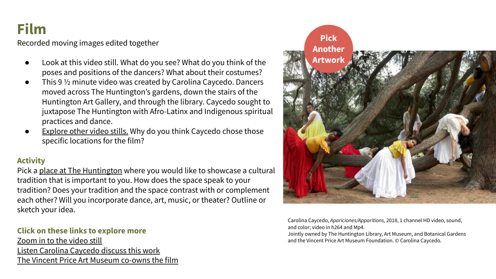### <span id="page-8-0"></span>**Film**

Recorded moving images edited together

- Look at this video still. What do you see? What do you think of the poses and positions of the dancers? What about their costumes?
- This 9 1/2 minute video was created by Carolina Caycedo. Dancers moved across The Huntington's gardens, down the stairs of the Huntington Art Gallery, and through the library. Caycedo sought to juxtapose The Huntington with Afro-Latinx and Indigenous spiritual practices and dance.
- **[Explore other video stills.](https://www.huntington.org/news/carolina-caycedo-video-on-view-huntington)** Why do you think Caycedo chose those specific locations for the film?

#### **Activity**

Pick a [place at The Huntington](https://www.huntington.org/map-of-grounds) where you would like to showcase a cultural tradition that is important to you. How does the space speak to your tradition? Does your tradition and the space contrast with or complement each other? Will you incorporate dance, art, music, or theater? Outline or sketch your idea.

#### **Click on these links to explore more**

[Zoom in to the video still](https://emuseum.huntington.org/objects/58046/aparicionesapparitions?ctx=df7d0f5cd06b7c9b5b9dd49beba363d4c7cf08d2&idx=0) [Listen Carolina Caycedo discuss this work](https://www.youtube.com/watch?v=_tB6QkWBE1k&t=10s) [The Vincent Price Art Museum co-owns the film](http://vincentpriceartmuseum.org/)

![](_page_8_Picture_9.jpeg)

Carolina Caycedo, *Apariciones/Apparitions,* 2018, 1 channel HD video, sound, and color; video in h264 and Mp4.

Jointly owned by The Huntington Library, Art Museum, and Botanical Gardens and the Vincent Price Art Museum Foundation. © Carolina Caycedo.